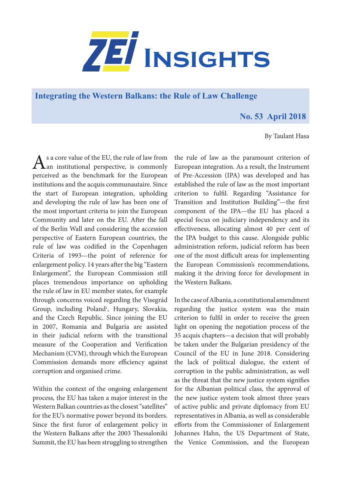

**[Integrating the Western Balkans: the Rule of Law Challenge](https://www.zei.uni-bonn.de/publications/zei-insights)** 

## **No. 53 April 2018**

By Taulant Hasa

As a core value of the EU, the rule of law from<br>
an institutional perspective, is commonly perceived as the benchmark for the European institutions and the acquis communautaire. Since the start of European integration, upholding and developing the rule of law has been one of the most important criteria to join the European Community and later on the EU. After the fall of the Berlin Wall and considering the accession perspective of Eastern European countries, the rule of law was codified in the Copenhagen Criteria of 1993—the point of reference for enlargement policy. 14 years after the big "Eastern Enlargement", the European Commission still places tremendous importance on upholding the rule of law in EU member states, for example through concerns voiced regarding the Visegrád Group, including Poland<sup>1</sup>, Hungary, Slovakia, and the Czech Republic. Since joining the EU in 2007, Romania and Bulgaria are assisted in their judicial reform with the transitional measure of the Cooperation and Verification Mechanism (CVM), through which the European Commission demands more efficiency against corruption and organised crime.

Within the context of the ongoing enlargement process, the EU has taken a major interest in the Western Balkan countries as the closest "satellites" for the EU's normative power beyond its borders. Since the first furor of enlargement policy in the Western Balkans after the 2003 Thessaloniki Summit, the EU has been struggling to strengthen the rule of law as the paramount criterion of European integration. As a result, the Instrument of Pre-Accession (IPA) was developed and has established the rule of law as the most important criterion to fulfil. Regarding "Assistance for Transition and Institution Building"—the first component of the IPA—the EU has placed a special focus on judiciary independency and its effectiveness, allocating almost 40 per cent of the IPA budget to this cause. Alongside public administration reform, judicial reform has been one of the most difficult areas for implementing the European Commission's recommendations, making it the driving force for development in the Western Balkans.

In the case of Albania, a constitutional amendment regarding the justice system was the main criterion to fulfil in order to receive the green light on opening the negotiation process of the 35 acquis chapters—a decision that will probably be taken under the Bulgarian presidency of the Council of the EU in June 2018. Considering the lack of political dialogue, the extent of corruption in the public administration, as well as the threat that the new justice system signifies for the Albanian political class, the approval of the new justice system took almost three years of active public and private diplomacy from EU representatives in Albania, as well as considerable efforts from the Commissioner of Enlargement Johannes Hahn, the US Department of State, the Venice Commission, and the European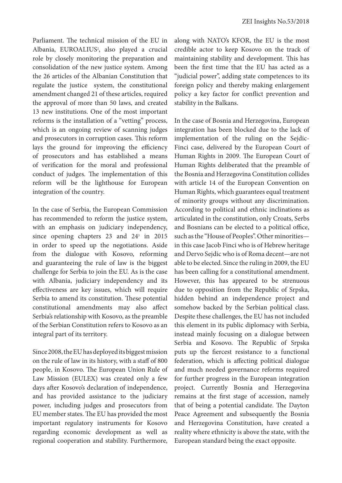Parliament. The technical mission of the EU in Albania, EUROALIUS2 , also played a crucial role by closely monitoring the preparation and consolidation of the new justice system. Among the 26 articles of the Albanian Constitution that regulate the justice system, the constitutional amendment changed 21 of these articles, required the approval of more than 50 laws, and created 13 new institutions. One of the most important reforms is the installation of a "vetting" process, which is an ongoing review of scanning judges and prosecutors in corruption cases. This reform lays the ground for improving the efficiency of prosecutors and has established a means of verification for the moral and professional conduct of judges. The implementation of this reform will be the lighthouse for European integration of the country.

In the case of Serbia, the European Commission has recommended to reform the justice system, with an emphasis on judiciary independency, since opening chapters 23 and 24<sup>3</sup> in 2015 in order to speed up the negotiations. Aside from the dialogue with Kosovo, reforming and guaranteeing the rule of law is the biggest challenge for Serbia to join the EU. As is the case with Albania, judiciary independency and its effectiveness are key issues, which will require Serbia to amend its constitution. These potential constitutional amendments may also affect Serbia's relationship with Kosovo, as the preamble of the Serbian Constitution refers to Kosovo as an integral part of its territory.

Since 2008, the EU has deployed its biggest mission on the rule of law in its history, with a staff of 800 people, in Kosovo. The European Union Rule of Law Mission (EULEX) was created only a few days after Kosovo's declaration of independence, and has provided assistance to the judiciary power, including judges and prosecutors from EU member states. The EU has provided the most important regulatory instruments for Kosovo regarding economic development as well as regional cooperation and stability. Furthermore,

along with NATO's KFOR, the EU is the most credible actor to keep Kosovo on the track of maintaining stability and development. This has been the first time that the EU has acted as a "judicial power", adding state competences to its foreign policy and thereby making enlargement policy a key factor for conflict prevention and stability in the Balkans.

In the case of Bosnia and Herzegovina, European integration has been blocked due to the lack of implementation of the ruling on the Sejdic-Finci case, delivered by the European Court of Human Rights in 2009. The European Court of Human Rights deliberated that the preamble of the Bosnia and Herzegovina Constitution collides with article 14 of the European Convention on Human Rights, which guarantees equal treatment of minority groups without any discrimination. According to political and ethnic inclinations as articulated in the constitution, only Croats, Serbs and Bosnians can be elected to a political office, such as the "House of Peoples". Other minorities in this case Jacob Finci who is of Hebrew heritage and Dervo Sejdic who is of Roma decent—are not able to be elected. Since the ruling in 2009, the EU has been calling for a constitutional amendment. However, this has appeared to be strenuous due to opposition from the Republic of Srpska, hidden behind an independence project and somehow backed by the Serbian political class. Despite these challenges, the EU has not included this element in its public diplomacy with Serbia, instead mainly focusing on a dialogue between Serbia and Kosovo. The Republic of Srpska puts up the fiercest resistance to a functional federation, which is affecting political dialogue and much needed governance reforms required for further progress in the European integration project. Currently Bosnia and Herzegovina remains at the first stage of accession, namely that of being a potential candidate. The Dayton Peace Agreement and subsequently the Bosnia and Herzegovina Constitution, have created a reality where ethnicity is above the state, with the European standard being the exact opposite.